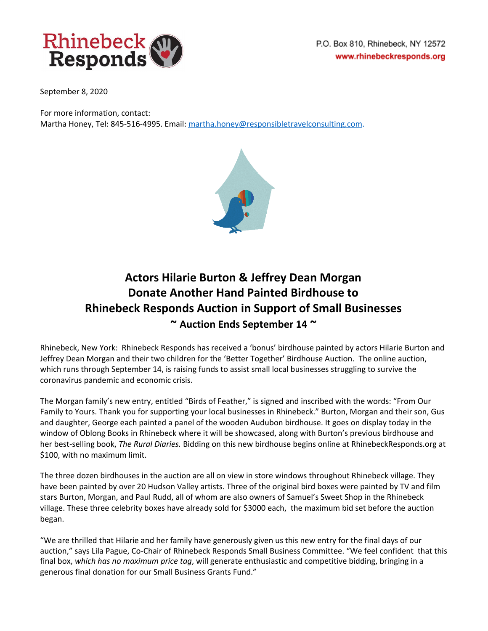

September 8, 2020

For more information, contact:

Martha Honey, Tel: 845-516-4995. Email: [martha.honey@responsibletravelconsulting.com](mailto:martha.honey@responsibletravelconsulting.com).



## **Actors Hilarie Burton & Jeffrey Dean Morgan Donate Another Hand Painted Birdhouse to Rhinebeck Responds Auction in Support of Small Businesses ~ Auction Ends September 14 ~**

Rhinebeck, New York: Rhinebeck Responds has received a 'bonus' birdhouse painted by actors Hilarie Burton and Jeffrey Dean Morgan and their two children for the 'Better Together' Birdhouse Auction. The online auction, which runs through September 14, is raising funds to assist small local businesses struggling to survive the coronavirus pandemic and economic crisis.

The Morgan family's new entry, entitled "Birds of Feather," is signed and inscribed with the words: "From Our Family to Yours. Thank you for supporting your local businesses in Rhinebeck." Burton, Morgan and their son, Gus and daughter, George each painted a panel of the wooden Audubon birdhouse. It goes on display today in the window of Oblong Books in Rhinebeck where it will be showcased, along with Burton's previous birdhouse and her best-selling book, *The Rural Diaries.* Bidding on this new birdhouse begins online at RhinebeckResponds.org at \$100, with no maximum limit.

The three dozen birdhouses in the auction are all on view in store windows throughout Rhinebeck village. They have been painted by over 20 Hudson Valley artists. Three of the original bird boxes were painted by TV and film stars Burton, Morgan, and Paul Rudd, all of whom are also owners of Samuel's Sweet Shop in the Rhinebeck village. These three celebrity boxes have already sold for \$3000 each, the maximum bid set before the auction began.

"We are thrilled that Hilarie and her family have generously given us this new entry for the final days of our auction," says Lila Pague, Co-Chair of Rhinebeck Responds Small Business Committee. "We feel confident that this final box, *which has no maximum price tag*, will generate enthusiastic and competitive bidding, bringing in a generous final donation for our Small Business Grants Fund."